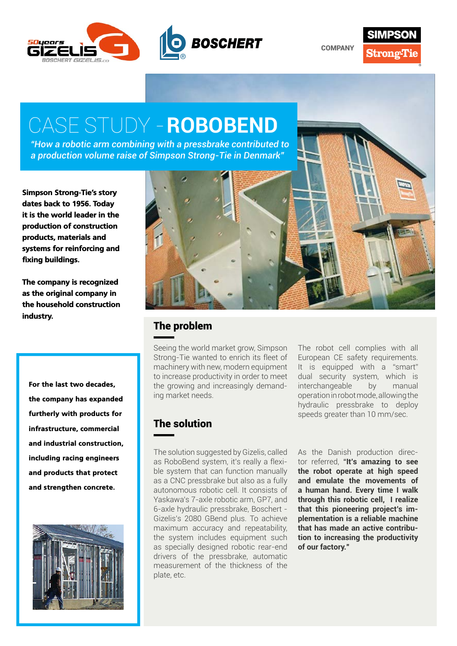

**COMPANY** 



## CASE STUDY - **ROBOBEND**

*"How a robotic arm combining with a pressbrake contributed to a production volume raise of Simpson Strong-Tie in Denmark"*

Simpson Strong-Tie's story dates back to 1956. Today it is the world leader in the production of construction products, materials and systems for reinforcing and fixing buildings.

The company is recognized as the original company in the household construction industry.

For the last two decades, the company has expanded furtherly with products for infrastructure, commercial and industrial construction, including racing engineers and products that protect and strengthen concrete.





## The problem

Seeing the world market grow, Simpson Strong-Tie wanted to enrich its fleet of machinery with new, modern equipment to increase productivity in order to meet the growing and increasingly demanding market needs.

The robot cell complies with all European CE safety requirements. It is equipped with a "smart" dual security system, which is interchangeable by manual operation in robot mode, allowing the hydraulic pressbrake to deploy speeds greater than 10 mm/sec.

## The solution

The solution suggested by Gizelis, called as RoboBend system, it's really a flexible system that can function manually as a CNC pressbrake but also as a fully autonomous robotic cell. It consists of Yaskawa's 7-axle robotic arm, GP7, and 6-axle hydraulic pressbrake, Boschert - Gizelis's 2080 GBend plus. To achieve maximum accuracy and repeatability, the system includes equipment such as specially designed robotic rear-end drivers of the pressbrake, automatic measurement of the thickness of the plate, etc.

As the Danish production director referred, "**It's amazing to see the robot operate at high speed and emulate the movements of a human hand. Every time I walk through this robotic cell, I realize that this pioneering project's implementation is a reliable machine that has made an active contribution to increasing the productivity of our factory."**